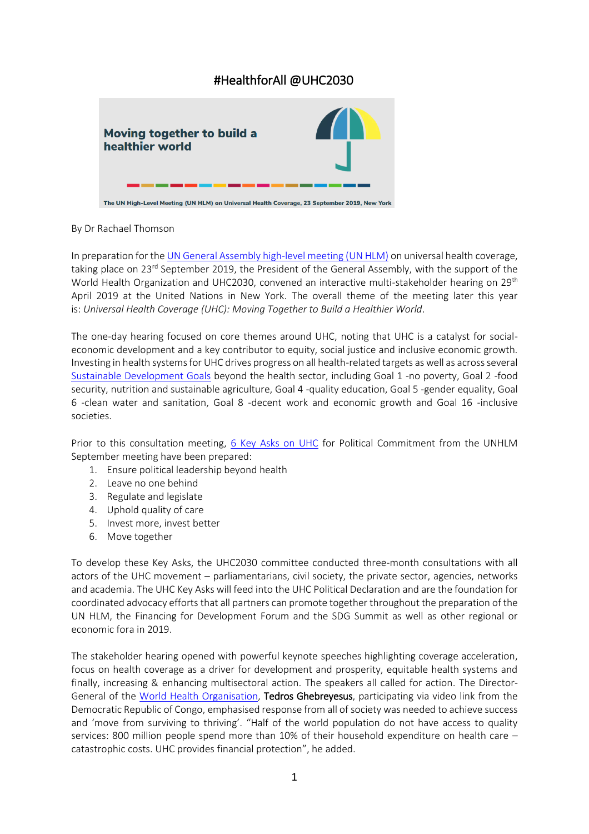# #HealthforAll @UHC2030



The UN High-Level Meeting (UN HLM) on Universal Health Coverage, 23 September 2019, New York

## By Dr Rachael Thomson

In preparation for th[e UN General Assembly high-level meeting](https://www.uhc2030.org/un-hlm-2019/) (UN HLM) on universal health coverage, taking place on 23<sup>rd</sup> September 2019, the President of the General Assembly, with the support of the World Health Organization and UHC2030, convened an interactive multi-stakeholder hearing on 29<sup>th</sup> April 2019 at the United Nations in New York. The overall theme of the meeting later this year is: *Universal Health Coverage (UHC): Moving Together to Build a Healthier World*.

The one-day hearing focused on core themes around UHC, noting that UHC is a catalyst for socialeconomic development and a key contributor to equity, social justice and inclusive economic growth. Investing in health systems for UHC drives progress on all health-related targets as well as across several [Sustainable Development Goals](https://www.un.org/sustainabledevelopment/sustainable-development-goals/) beyond the health sector, including Goal 1 -no poverty, Goal 2 -food security, nutrition and sustainable agriculture, Goal 4 -quality education, Goal 5 -gender equality, Goal 6 -clean water and sanitation, Goal 8 -decent work and economic growth and Goal 16 -inclusive societies.

Prior to this consultation meeting, [6 Key Asks on UHC](https://www.uhc2030.org/un-hlm-2019/) for Political Commitment from the UNHLM September meeting have been prepared:

- 1. Ensure political leadership beyond health
- 2. Leave no one behind
- 3. Regulate and legislate
- 4. Uphold quality of care
- 5. Invest more, invest better
- 6. Move together

To develop these Key Asks, the UHC2030 committee conducted three-month consultations with all actors of the UHC movement – parliamentarians, civil society, the private sector, agencies, networks and academia. The UHC Key Asks will feed into the UHC Political Declaration and are the foundation for coordinated advocacy efforts that all partners can promote together throughout the preparation of the UN HLM, the Financing for Development Forum and the SDG Summit as well as other regional or economic fora in 2019.

The stakeholder hearing opened with powerful keynote speeches highlighting coverage acceleration, focus on health coverage as a driver for development and prosperity, equitable health systems and finally, increasing & enhancing multisectoral action. The speakers all called for action. The Director-General of the [World Health Organisation,](https://www.who.int/) Tedros Ghebreyesus, participating via video link from the Democratic Republic of Congo, emphasised response from all of society was needed to achieve success and 'move from surviving to thriving'. "Half of the world population do not have access to quality services: 800 million people spend more than 10% of their household expenditure on health care – catastrophic costs. UHC provides financial protection", he added.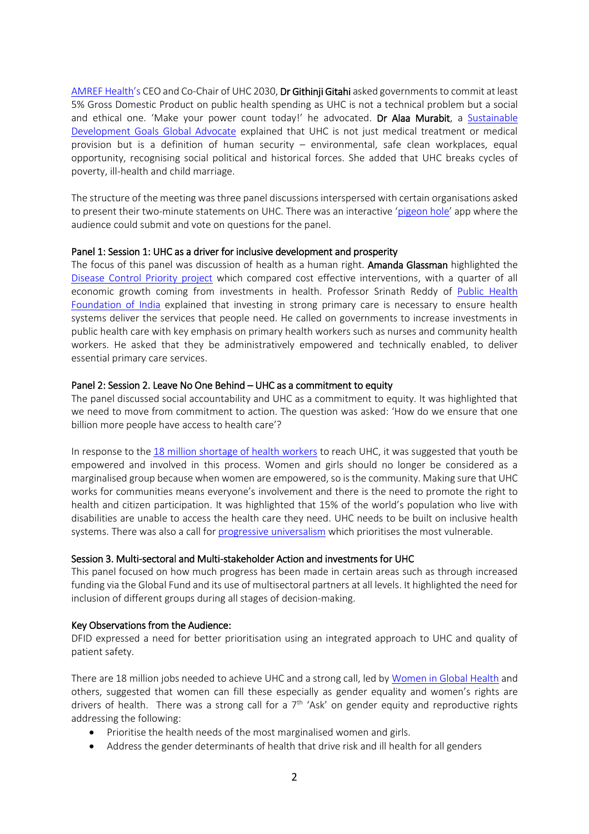[AMREF](https://amref.org/) Health's CEO and Co-Chair of UHC 2030, Dr Githinji Gitahi asked governments to commit at least 5% Gross Domestic Product on public health spending as UHC is not a technical problem but a social and ethical one. 'Make your power count today!' he advocated. Dr Alaa Murabit, a Sustainable [Development Goals Global Advocate](https://www.un.org/sustainabledevelopment/sdgadvocates/) explained that UHC is not just medical treatment or medical provision but is a definition of human security – environmental, safe clean workplaces, equal opportunity, recognising social political and historical forces. She added that UHC breaks cycles of poverty, ill-health and child marriage.

The structure of the meeting was three panel discussions interspersed with certain organisations asked to present their two-minute statements on UHC. There was an interactive '[pigeon hole](https://pigeonholelive.com/)' app where the audience could submit and vote on questions for the panel.

### Panel 1: Session 1: UHC as a driver for inclusive development and prosperity

The focus of this panel was discussion of health as a human right. Amanda Glassman highlighted the [Disease Control Priority project](https://www.dcp-3.org/about-project#main-content) which compared cost effective interventions, with a quarter of all economic growth coming from investments in health. Professor Srinath Reddy of [Public Health](https://phfi.org/)  [Foundation of India](https://phfi.org/) explained that investing in strong primary care is necessary to ensure health systems deliver the services that people need. He called on governments to increase investments in public health care with key emphasis on primary health workers such as nurses and community health workers. He asked that they be administratively empowered and technically enabled, to deliver essential primary care services.

#### Panel 2: Session 2. Leave No One Behind – UHC as a commitment to equity

The panel discussed social accountability and UHC as a commitment to equity. It was highlighted that we need to move from commitment to action. The question was asked: 'How do we ensure that one billion more people have access to health care'?

In response to the [18 million shortage of health workers](https://www.who.int/hrh/news/2017/action-to-avert-an18-million-health-worker-shortfall/en/) to reach UHC, it was suggested that youth be empowered and involved in this process. Women and girls should no longer be considered as a marginalised group because when women are empowered, so is the community. Making sure that UHC works for communities means everyone's involvement and there is the need to promote the right to health and citizen participation. It was highlighted that 15% of the world's population who live with disabilities are unable to access the health care they need. UHC needs to be built on inclusive health systems. There was also a call fo[r progressive universalism](https://gh.bmj.com/content/bmjgh/2/3/e000342.full.pdf) which prioritises the most vulnerable.

## Session 3. Multi-sectoral and Multi-stakeholder Action and investments for UHC

This panel focused on how much progress has been made in certain areas such as through increased funding via the Global Fund and its use of multisectoral partners at all levels. It highlighted the need for inclusion of different groups during all stages of decision-making.

#### Key Observations from the Audience:

DFID expressed a need for better prioritisation using an integrated approach to UHC and quality of patient safety.

There are 18 million jobs needed to achieve UHC and a strong call, led by [Women in Global Health](https://www.womeningh.org/) and others, suggested that women can fill these especially as gender equality and women's rights are drivers of health. There was a strong call for a  $7<sup>th</sup>$  'Ask' on gender equity and reproductive rights addressing the following:

- Prioritise the health needs of the most marginalised women and girls.
- Address the gender determinants of health that drive risk and ill health for all genders